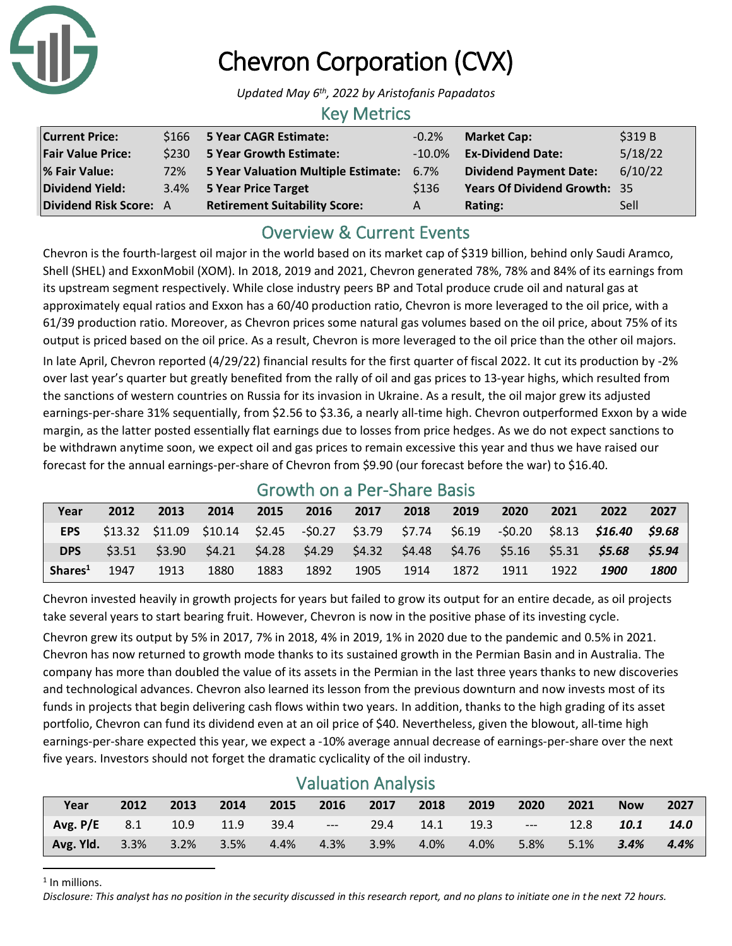

# Chevron Corporation (CVX)

*Updated May 6th, 2022 by Aristofanis Papadatos*

#### Key Metrics

| <b>Current Price:</b>    |     | \$166 5 Year CAGR Estimate:              | $-0.2\%$  | <b>Market Cap:</b>                  | \$319 B |
|--------------------------|-----|------------------------------------------|-----------|-------------------------------------|---------|
| <b>Fair Value Price:</b> |     | \$230 5 Year Growth Estimate:            | $-10.0\%$ | <b>Ex-Dividend Date:</b>            | 5/18/22 |
| % Fair Value:            | 72% | 5 Year Valuation Multiple Estimate: 6.7% |           | <b>Dividend Payment Date:</b>       | 6/10/22 |
| Dividend Yield:          |     | 3.4% 5 Year Price Target                 | \$136     | <b>Years Of Dividend Growth: 35</b> |         |
| Dividend Risk Score: A   |     | <b>Retirement Suitability Score:</b>     | A         | Rating:                             | Sell    |

### Overview & Current Events

Chevron is the fourth-largest oil major in the world based on its market cap of \$319 billion, behind only Saudi Aramco, Shell (SHEL) and ExxonMobil (XOM). In 2018, 2019 and 2021, Chevron generated 78%, 78% and 84% of its earnings from its upstream segment respectively. While close industry peers BP and Total produce crude oil and natural gas at approximately equal ratios and Exxon has a 60/40 production ratio, Chevron is more leveraged to the oil price, with a 61/39 production ratio. Moreover, as Chevron prices some natural gas volumes based on the oil price, about 75% of its output is priced based on the oil price. As a result, Chevron is more leveraged to the oil price than the other oil majors.

In late April, Chevron reported (4/29/22) financial results for the first quarter of fiscal 2022. It cut its production by -2% over last year's quarter but greatly benefited from the rally of oil and gas prices to 13-year highs, which resulted from the sanctions of western countries on Russia for its invasion in Ukraine. As a result, the oil major grew its adjusted earnings-per-share 31% sequentially, from \$2.56 to \$3.36, a nearly all-time high. Chevron outperformed Exxon by a wide margin, as the latter posted essentially flat earnings due to losses from price hedges. As we do not expect sanctions to be withdrawn anytime soon, we expect oil and gas prices to remain excessive this year and thus we have raised our forecast for the annual earnings-per-share of Chevron from \$9.90 (our forecast before the war) to \$16.40.

#### Growth on a Per-Share Basis

| Year                | 2012   | 2013   | 2014 | 2015 | 2016 | 2017 | 2018 | 2019 | 2020 | 2021 | 2022                                                                                             | 2027               |
|---------------------|--------|--------|------|------|------|------|------|------|------|------|--------------------------------------------------------------------------------------------------|--------------------|
| <b>EPS</b>          |        |        |      |      |      |      |      |      |      |      | \$13.32 \$11.09 \$10.14 \$2.45 -\$0.27 \$3.79 \$7.74 \$6.19 -\$0.20 \$8.13 <b>\$16.40 \$9.68</b> |                    |
| <b>DPS</b>          | \$3.51 | \$3.90 |      |      |      |      |      |      |      |      | \$4.21 \$4.28 \$4.29 \$4.32 \$4.48 \$4.76 \$5.16 \$5.31 <b>\$5.68</b>                            | S5.94              |
| Shares <sup>1</sup> | 1947   | 1913   | 1880 | 1883 | 1892 | 1905 | 1914 | 1872 | 1911 | 1922 | 1900                                                                                             | <i><b>1800</b></i> |

Chevron invested heavily in growth projects for years but failed to grow its output for an entire decade, as oil projects take several years to start bearing fruit. However, Chevron is now in the positive phase of its investing cycle.

Chevron grew its output by 5% in 2017, 7% in 2018, 4% in 2019, 1% in 2020 due to the pandemic and 0.5% in 2021. Chevron has now returned to growth mode thanks to its sustained growth in the Permian Basin and in Australia. The company has more than doubled the value of its assets in the Permian in the last three years thanks to new discoveries and technological advances. Chevron also learned its lesson from the previous downturn and now invests most of its funds in projects that begin delivering cash flows within two years. In addition, thanks to the high grading of its asset portfolio, Chevron can fund its dividend even at an oil price of \$40. Nevertheless, given the blowout, all-time high earnings-per-share expected this year, we expect a -10% average annual decrease of earnings-per-share over the next five years. Investors should not forget the dramatic cyclicality of the oil industry.

| <b>Valuation Analysis</b> |      |      |           |      |                |      |      |      |            |      |            |      |
|---------------------------|------|------|-----------|------|----------------|------|------|------|------------|------|------------|------|
| Year                      | 2012 | 2013 | 2014      | 2015 | 2016           | 2017 | 2018 | 2019 | 2020       | 2021 | <b>Now</b> | 2027 |
| Avg. $P/E$ 8.1            |      | 10.9 | 11.9 39.4 |      | and the season | 29.4 | 14.1 | 19.3 | $\sim$ $-$ | 12.8 | 10.1       | 14.0 |
| Avg. Yld.                 | 3.3% | 3.2% | 3.5%      | 4.4% | 4.3%           | 3.9% | 4.0% | 4.0% | 5.8%       | 5.1% | 3.4%       | 4.4% |

#### Valuation Analysis

<sup>1</sup> In millions.

*Disclosure: This analyst has no position in the security discussed in this research report, and no plans to initiate one in the next 72 hours.*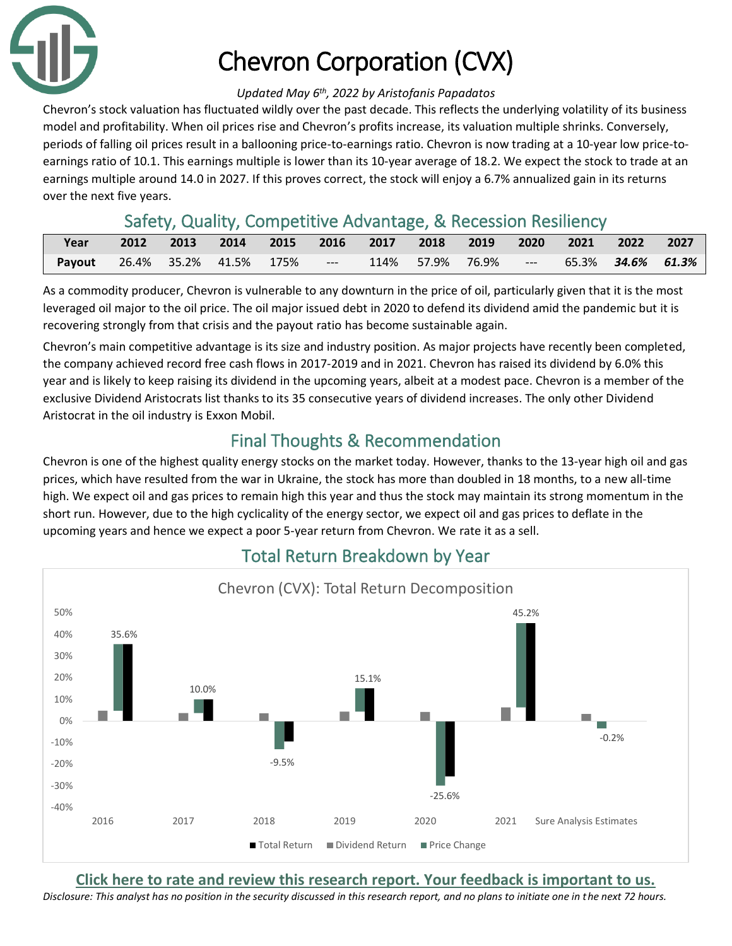

# Chevron Corporation (CVX)

#### *Updated May 6th, 2022 by Aristofanis Papadatos*

Chevron's stock valuation has fluctuated wildly over the past decade. This reflects the underlying volatility of its business model and profitability. When oil prices rise and Chevron's profits increase, its valuation multiple shrinks. Conversely, periods of falling oil prices result in a ballooning price-to-earnings ratio. Chevron is now trading at a 10-year low price-toearnings ratio of 10.1. This earnings multiple is lower than its 10-year average of 18.2. We expect the stock to trade at an earnings multiple around 14.0 in 2027. If this proves correct, the stock will enjoy a 6.7% annualized gain in its returns over the next five years.

### Safety, Quality, Competitive Advantage, & Recession Resiliency

| Year                                                                     |  |  |  |  | 2012 2013 2014 2015 2016 2017 2018 2019 2020 2021 2022 2027 |  |
|--------------------------------------------------------------------------|--|--|--|--|-------------------------------------------------------------|--|
| Payout 26.4% 35.2% 41.5% 175% --- 114% 57.9% 76.9% --- 65.3% 34.6% 61.3% |  |  |  |  |                                                             |  |

As a commodity producer, Chevron is vulnerable to any downturn in the price of oil, particularly given that it is the most leveraged oil major to the oil price. The oil major issued debt in 2020 to defend its dividend amid the pandemic but it is recovering strongly from that crisis and the payout ratio has become sustainable again.

Chevron's main competitive advantage is its size and industry position. As major projects have recently been completed, the company achieved record free cash flows in 2017-2019 and in 2021. Chevron has raised its dividend by 6.0% this year and is likely to keep raising its dividend in the upcoming years, albeit at a modest pace. Chevron is a member of the exclusive Dividend Aristocrats list thanks to its 35 consecutive years of dividend increases. The only other Dividend Aristocrat in the oil industry is Exxon Mobil.

## Final Thoughts & Recommendation

Chevron is one of the highest quality energy stocks on the market today. However, thanks to the 13-year high oil and gas prices, which have resulted from the war in Ukraine, the stock has more than doubled in 18 months, to a new all-time high. We expect oil and gas prices to remain high this year and thus the stock may maintain its strong momentum in the short run. However, due to the high cyclicality of the energy sector, we expect oil and gas prices to deflate in the upcoming years and hence we expect a poor 5-year return from Chevron. We rate it as a sell.



### Total Return Breakdown by Year

**[Click here to rate and review this research report. Your feedback is important to us.](https://suredividend.typeform.com/to/cs7Wce/)**

*Disclosure: This analyst has no position in the security discussed in this research report, and no plans to initiate one in the next 72 hours.*